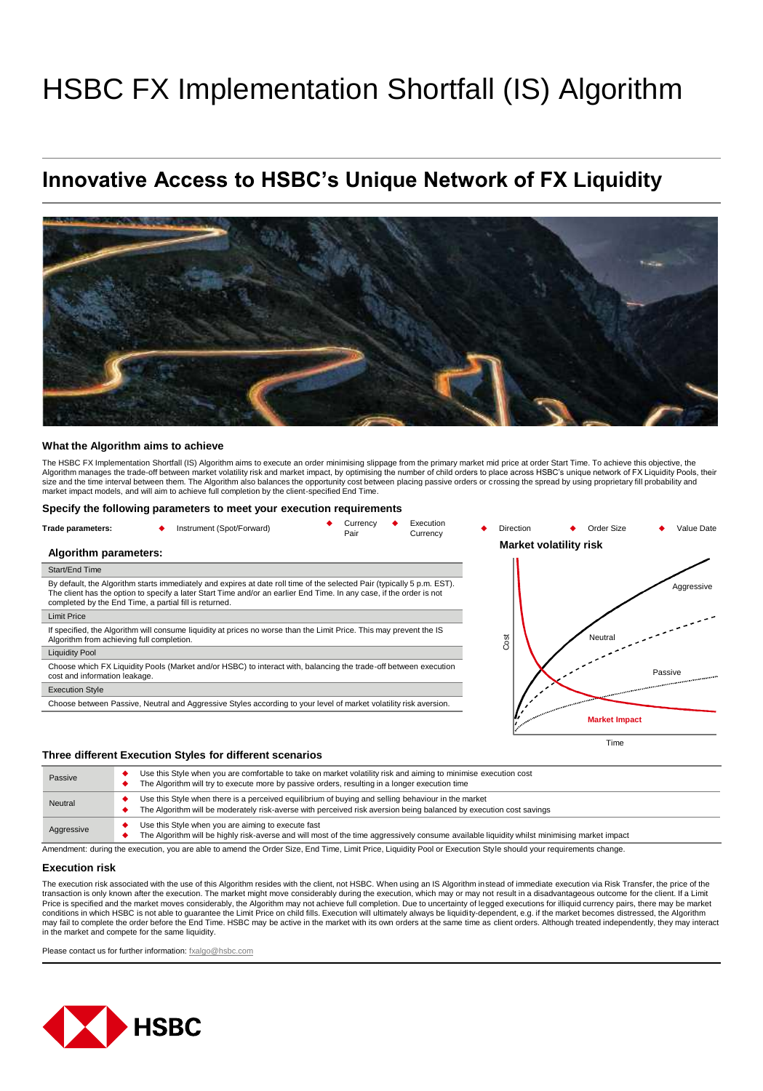# HSBC FX Implementation Shortfall (IS) Algorithm

## **Innovative Access to HSBC's Unique Network of FX Liquidity**



#### **What the Algorithm aims to achieve**

The HSBC FX Implementation Shortfall (IS) Algorithm aims to execute an order minimising slippage from the primary market mid price at order Start Time. To achieve this objective, the Algorithm manages the trade-off between market volatility risk and market impact, by optimising the number of child orders to place across HSBC's unique network of FX Liquidity Pools, their size and the time interval between them. The Algorithm also balances the opportunity cost between placing passive orders or crossing the spread by using proprietary fill probability and<br>market impact models, and will aim t

#### **Specify the following parameters to meet your execution requirements**

| Trade parameters:                                      | Instrument (Spot/Forward)                                                                                                                                                                                                                       | Currency<br>Pair | Execution<br>Currency | <b>Direction</b> | Order Size             | Value Date                                                                                                                                                                                                                           |
|--------------------------------------------------------|-------------------------------------------------------------------------------------------------------------------------------------------------------------------------------------------------------------------------------------------------|------------------|-----------------------|------------------|------------------------|--------------------------------------------------------------------------------------------------------------------------------------------------------------------------------------------------------------------------------------|
| Algorithm parameters:                                  |                                                                                                                                                                                                                                                 |                  |                       |                  | Market volatility risk |                                                                                                                                                                                                                                      |
| Start/End Time                                         |                                                                                                                                                                                                                                                 |                  |                       |                  |                        |                                                                                                                                                                                                                                      |
| completed by the End Time, a partial fill is returned. | By default, the Algorithm starts immediately and expires at date roll time of the selected Pair (typically 5 p.m. EST).<br>The client has the option to specify a later Start Time and/or an earlier End Time. In any case, if the order is not |                  |                       |                  |                        | Aggressive                                                                                                                                                                                                                           |
| <b>Limit Price</b>                                     |                                                                                                                                                                                                                                                 |                  |                       |                  |                        |                                                                                                                                                                                                                                      |
| Algorithm from achieving full completion.              | If specified, the Algorithm will consume liquidity at prices no worse than the Limit Price. This may prevent the IS                                                                                                                             |                  |                       | Cost             | Neutral                |                                                                                                                                                                                                                                      |
| <b>Liquidity Pool</b>                                  |                                                                                                                                                                                                                                                 |                  |                       |                  |                        |                                                                                                                                                                                                                                      |
| cost and information leakage.                          | Choose which FX Liquidity Pools (Market and/or HSBC) to interact with, balancing the trade-off between execution                                                                                                                                |                  |                       |                  |                        | Passive                                                                                                                                                                                                                              |
| <b>Execution Style</b>                                 |                                                                                                                                                                                                                                                 |                  |                       |                  |                        | <b>Second Communisment of the Communisment of the Communisment of the Communisment of the Communisment of the Communisment of the Communisment of the Communisment of the Communisment of the Communisment of the Communisment o</b> |
|                                                        | Choose between Passive, Neutral and Aggressive Styles according to your level of market volatility risk aversion.                                                                                                                               |                  |                       |                  |                        |                                                                                                                                                                                                                                      |
|                                                        |                                                                                                                                                                                                                                                 |                  |                       |                  | <b>Market Impact</b>   |                                                                                                                                                                                                                                      |
|                                                        |                                                                                                                                                                                                                                                 |                  |                       |                  | Time                   |                                                                                                                                                                                                                                      |

#### **Three different Execution Styles for different scenarios**

| Passive    | Use this Style when you are comfortable to take on market volatility risk and aiming to minimise execution cost<br>The Algorithm will try to execute more by passive orders, resulting in a longer execution time        |
|------------|--------------------------------------------------------------------------------------------------------------------------------------------------------------------------------------------------------------------------|
| Neutral    | Use this Style when there is a perceived equilibrium of buying and selling behaviour in the market<br>The Algorithm will be moderately risk-averse with perceived risk aversion being balanced by execution cost savings |
| Aggressive | Use this Style when you are aiming to execute fast<br>The Algorithm will be highly risk-averse and will most of the time aggressively consume available liquidity whilst minimising market impact                        |

Amendment: during the execution, you are able to amend the Order Size, End Time, Limit Price, Liquidity Pool or Execution Style should your requirements change.

#### **Execution risk**

The execution risk associated with the use of this Algorithm resides with the client, not HSBC. When using an IS Algorithm instead of immediate execution via Risk Transfer, the price of the transaction is only known after the execution. The market might move considerably during the execution, which may or may not result in a disadvantageous outcome for the client. If a Limit Price is specified and the market moves considerably, the Algorithm may not achieve full completion. Due to uncertainty of legged executions for illiquid currency pairs, there may be market<br>conditions in which HSBC is not may fail to complete the order before the End Time. HSBC may be active in the market with its own orders at the same time as client orders. Although treated independently, they may interact<br>in the market and compete for th

Please contact us for further information: [fxalgo@hsbc.com](mailto:fxalgo@hsbc.com)